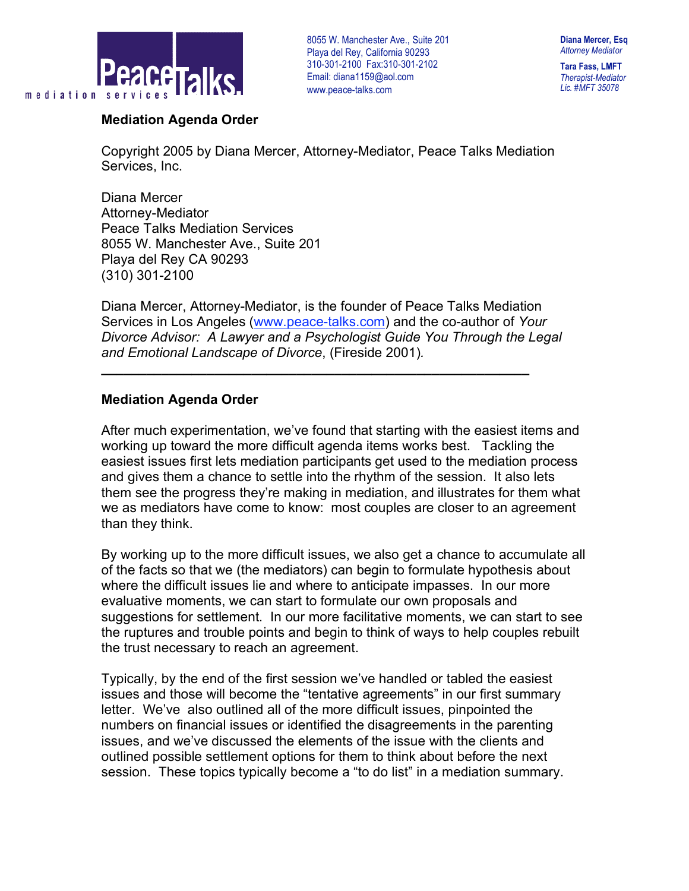

**Diana Mercer, Esq** *Attorney Mediator*

**Tara Fass, LMFT** *Therapist-Mediator Lic. #MFT 35078*

### **Mediation Agenda Order**

Copyright 2005 by Diana Mercer, Attorney-Mediator, Peace Talks Mediation Services, Inc.

Diana Mercer Attorney-Mediator Peace Talks Mediation Services 8055 W. Manchester Ave., Suite 201 Playa del Rey CA 90293 (310) 301-2100

Diana Mercer, Attorney-Mediator, is the founder of Peace Talks Mediation Services in Los Angeles (www.peace-talks.com) and the co-author of *Your Divorce Advisor: A Lawyer and a Psychologist Guide You Through the Legal and Emotional Landscape of Divorce*, (Fireside 2001)*.*

**\_\_\_\_\_\_\_\_\_\_\_\_\_\_\_\_\_\_\_\_\_\_\_\_\_\_\_\_\_\_\_\_\_\_\_\_\_\_\_\_\_\_\_\_\_\_\_\_\_\_\_\_\_\_\_\_\_**

## **Mediation Agenda Order**

After much experimentation, we've found that starting with the easiest items and working up toward the more difficult agenda items works best. Tackling the easiest issues first lets mediation participants get used to the mediation process and gives them a chance to settle into the rhythm of the session. It also lets them see the progress they're making in mediation, and illustrates for them what we as mediators have come to know: most couples are closer to an agreement than they think.

By working up to the more difficult issues, we also get a chance to accumulate all of the facts so that we (the mediators) can begin to formulate hypothesis about where the difficult issues lie and where to anticipate impasses. In our more evaluative moments, we can start to formulate our own proposals and suggestions for settlement. In our more facilitative moments, we can start to see the ruptures and trouble points and begin to think of ways to help couples rebuilt the trust necessary to reach an agreement.

Typically, by the end of the first session we've handled or tabled the easiest issues and those will become the "tentative agreements" in our first summary letter. We've also outlined all of the more difficult issues, pinpointed the numbers on financial issues or identified the disagreements in the parenting issues, and we've discussed the elements of the issue with the clients and outlined possible settlement options for them to think about before the next session. These topics typically become a "to do list" in a mediation summary.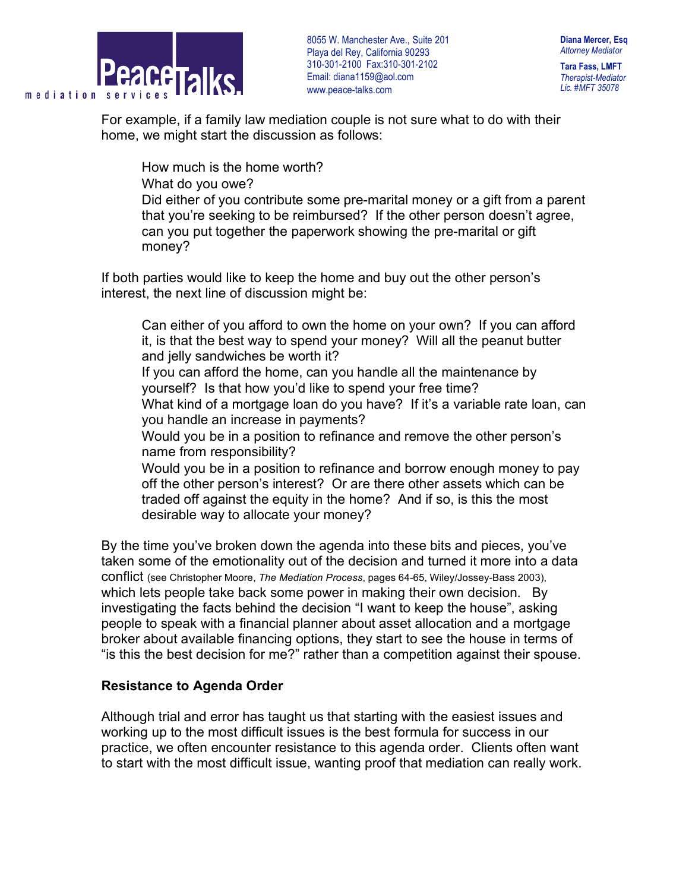

**Diana Mercer, Esq** *Attorney Mediator*

**Tara Fass, LMFT** *Therapist-Mediator Lic. #MFT 35078*

For example, if a family law mediation couple is not sure what to do with their home, we might start the discussion as follows:

How much is the home worth?

What do you owe?

 Did either of you contribute some pre-marital money or a gift from a parent that you're seeking to be reimbursed? If the other person doesn't agree, can you put together the paperwork showing the pre-marital or gift money?

If both parties would like to keep the home and buy out the other person's interest, the next line of discussion might be:

 Can either of you afford to own the home on your own? If you can afford it, is that the best way to spend your money? Will all the peanut butter and jelly sandwiches be worth it?

 If you can afford the home, can you handle all the maintenance by yourself? Is that how you'd like to spend your free time?

What kind of a mortgage loan do you have? If it's a variable rate loan, can you handle an increase in payments?

 Would you be in a position to refinance and remove the other person's name from responsibility?

 Would you be in a position to refinance and borrow enough money to pay off the other person's interest? Or are there other assets which can be traded off against the equity in the home? And if so, is this the most desirable way to allocate your money?

By the time you've broken down the agenda into these bits and pieces, you've taken some of the emotionality out of the decision and turned it more into a data conflict (see Christopher Moore, *The Mediation Process*, pages 64-65, Wiley/Jossey-Bass 2003), which lets people take back some power in making their own decision. By investigating the facts behind the decision "I want to keep the house", asking people to speak with a financial planner about asset allocation and a mortgage broker about available financing options, they start to see the house in terms of "is this the best decision for me?" rather than a competition against their spouse.

# **Resistance to Agenda Order**

Although trial and error has taught us that starting with the easiest issues and working up to the most difficult issues is the best formula for success in our practice, we often encounter resistance to this agenda order. Clients often want to start with the most difficult issue, wanting proof that mediation can really work.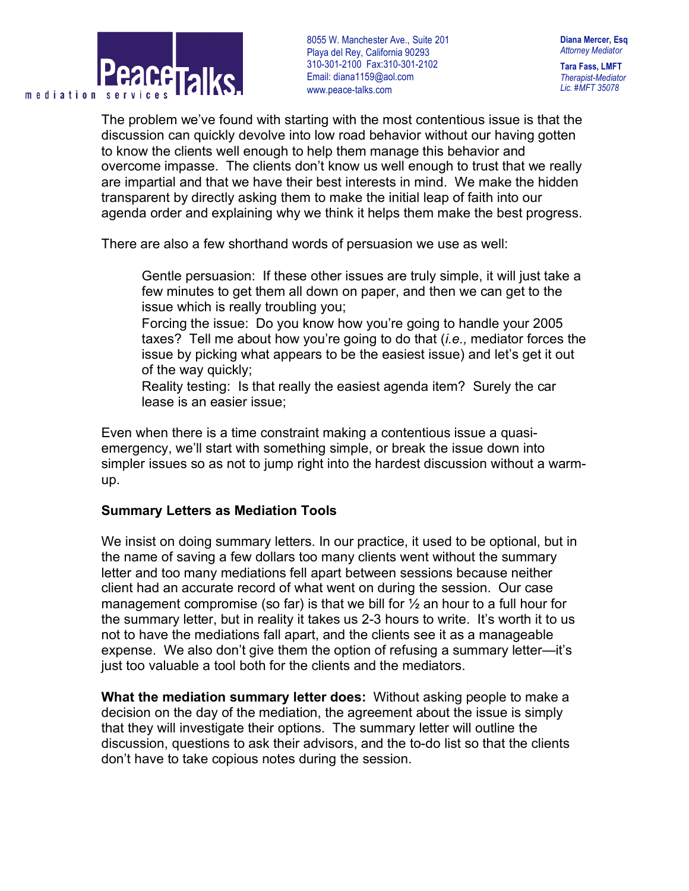

**Diana Mercer, Esq** *Attorney Mediator*

**Tara Fass, LMFT** *Therapist-Mediator Lic. #MFT 35078*

The problem we've found with starting with the most contentious issue is that the discussion can quickly devolve into low road behavior without our having gotten to know the clients well enough to help them manage this behavior and overcome impasse. The clients don't know us well enough to trust that we really are impartial and that we have their best interests in mind. We make the hidden transparent by directly asking them to make the initial leap of faith into our agenda order and explaining why we think it helps them make the best progress.

There are also a few shorthand words of persuasion we use as well:

 Gentle persuasion: If these other issues are truly simple, it will just take a few minutes to get them all down on paper, and then we can get to the issue which is really troubling you;

 Forcing the issue: Do you know how you're going to handle your 2005 taxes? Tell me about how you're going to do that (*i.e.,* mediator forces the issue by picking what appears to be the easiest issue) and let's get it out of the way quickly;

 Reality testing: Is that really the easiest agenda item? Surely the car lease is an easier issue;

Even when there is a time constraint making a contentious issue a quasiemergency, we'll start with something simple, or break the issue down into simpler issues so as not to jump right into the hardest discussion without a warmup.

### **Summary Letters as Mediation Tools**

We insist on doing summary letters. In our practice, it used to be optional, but in the name of saving a few dollars too many clients went without the summary letter and too many mediations fell apart between sessions because neither client had an accurate record of what went on during the session. Our case management compromise (so far) is that we bill for  $\frac{1}{2}$  an hour to a full hour for the summary letter, but in reality it takes us 2-3 hours to write. It's worth it to us not to have the mediations fall apart, and the clients see it as a manageable expense. We also don't give them the option of refusing a summary letter—it's just too valuable a tool both for the clients and the mediators.

**What the mediation summary letter does:** Without asking people to make a decision on the day of the mediation, the agreement about the issue is simply that they will investigate their options. The summary letter will outline the discussion, questions to ask their advisors, and the to-do list so that the clients don't have to take copious notes during the session.